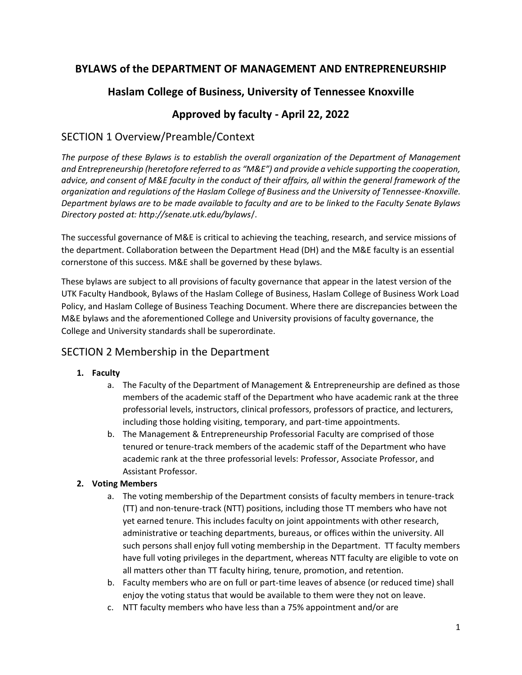# **BYLAWS of the DEPARTMENT OF MANAGEMENT AND ENTREPRENEURSHIP**

# **Haslam College of Business, University of Tennessee Knoxville**

# **Approved by faculty - April 22, 2022**

# SECTION 1 Overview/Preamble/Context

*The purpose of these Bylaws is to establish the overall organization of the Department of Management and Entrepreneurship (heretofore referred to as "M&E") and provide a vehicle supporting the cooperation, advice, and consent of M&E faculty in the conduct of their affairs, all within the general framework of the organization and regulations of the Haslam College of Business and the University of Tennessee-Knoxville. Department bylaws are to be made available to faculty and are to be linked to the Faculty Senate Bylaws Directory posted at: http://senate.utk.edu/bylaws*/.

The successful governance of M&E is critical to achieving the teaching, research, and service missions of the department. Collaboration between the Department Head (DH) and the M&E faculty is an essential cornerstone of this success. M&E shall be governed by these bylaws.

These bylaws are subject to all provisions of faculty governance that appear in the latest version of the UTK Faculty Handbook, Bylaws of the Haslam College of Business, Haslam College of Business Work Load Policy, and Haslam College of Business Teaching Document. Where there are discrepancies between the M&E bylaws and the aforementioned College and University provisions of faculty governance, the College and University standards shall be superordinate.

## SECTION 2 Membership in the Department

## **1. Faculty**

- a. The Faculty of the Department of Management & Entrepreneurship are defined as those members of the academic staff of the Department who have academic rank at the three professorial levels, instructors, clinical professors, professors of practice, and lecturers, including those holding visiting, temporary, and part-time appointments.
- b. The Management & Entrepreneurship Professorial Faculty are comprised of those tenured or tenure-track members of the academic staff of the Department who have academic rank at the three professorial levels: Professor, Associate Professor, and Assistant Professor.

## **2. Voting Members**

- a. The voting membership of the Department consists of faculty members in tenure-track (TT) and non-tenure-track (NTT) positions, including those TT members who have not yet earned tenure. This includes faculty on joint appointments with other research, administrative or teaching departments, bureaus, or offices within the university. All such persons shall enjoy full voting membership in the Department. TT faculty members have full voting privileges in the department, whereas NTT faculty are eligible to vote on all matters other than TT faculty hiring, tenure, promotion, and retention.
- b. Faculty members who are on full or part-time leaves of absence (or reduced time) shall enjoy the voting status that would be available to them were they not on leave.
- c. NTT faculty members who have less than a 75% appointment and/or are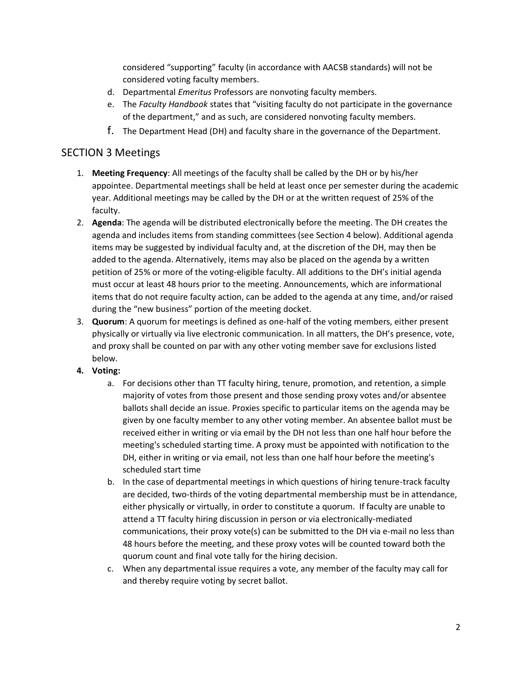considered "supporting" faculty (in accordance with AACSB standards) will not be considered voting faculty members.

- d. Departmental *Emeritus* Professors are nonvoting faculty members.
- e. The *Faculty Handbook* states that "visiting faculty do not participate in the governance of the department," and as such, are considered nonvoting faculty members.
- f. The Department Head (DH) and faculty share in the governance of the Department.

## SECTION 3 Meetings

- 1. **Meeting Frequency**: All meetings of the faculty shall be called by the DH or by his/her appointee. Departmental meetings shall be held at least once per semester during the academic year. Additional meetings may be called by the DH or at the written request of 25% of the faculty.
- 2. **Agenda**: The agenda will be distributed electronically before the meeting. The DH creates the agenda and includes items from standing committees (see Section 4 below). Additional agenda items may be suggested by individual faculty and, at the discretion of the DH, may then be added to the agenda. Alternatively, items may also be placed on the agenda by a written petition of 25% or more of the voting-eligible faculty. All additions to the DH's initial agenda must occur at least 48 hours prior to the meeting. Announcements, which are informational items that do not require faculty action, can be added to the agenda at any time, and/or raised during the "new business" portion of the meeting docket.
- 3. **Quorum**: A quorum for meetings is defined as one-half of the voting members, either present physically or virtually via live electronic communication. In all matters, the DH's presence, vote, and proxy shall be counted on par with any other voting member save for exclusions listed below.

### **4. Voting:**

- a. For decisions other than TT faculty hiring, tenure, promotion, and retention, a simple majority of votes from those present and those sending proxy votes and/or absentee ballots shall decide an issue. Proxies specific to particular items on the agenda may be given by one faculty member to any other voting member. An absentee ballot must be received either in writing or via email by the DH not less than one half hour before the meeting's scheduled starting time. A proxy must be appointed with notification to the DH, either in writing or via email, not less than one half hour before the meeting's scheduled start time
- b. In the case of departmental meetings in which questions of hiring tenure-track faculty are decided, two-thirds of the voting departmental membership must be in attendance, either physically or virtually, in order to constitute a quorum. If faculty are unable to attend a TT faculty hiring discussion in person or via electronically-mediated communications, their proxy vote(s) can be submitted to the DH via e-mail no less than 48 hours before the meeting, and these proxy votes will be counted toward both the quorum count and final vote tally for the hiring decision.
- c. When any departmental issue requires a vote, any member of the faculty may call for and thereby require voting by secret ballot.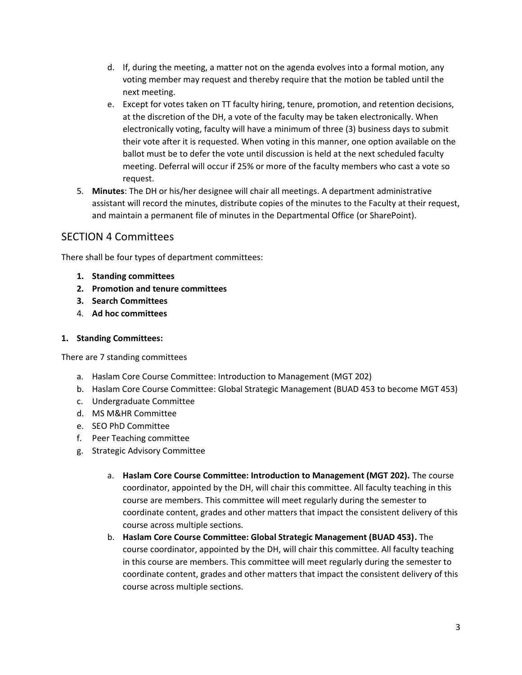- d. If, during the meeting, a matter not on the agenda evolves into a formal motion, any voting member may request and thereby require that the motion be tabled until the next meeting.
- e. Except for votes taken on TT faculty hiring, tenure, promotion, and retention decisions, at the discretion of the DH, a vote of the faculty may be taken electronically. When electronically voting, faculty will have a minimum of three (3) business days to submit their vote after it is requested. When voting in this manner, one option available on the ballot must be to defer the vote until discussion is held at the next scheduled faculty meeting. Deferral will occur if 25% or more of the faculty members who cast a vote so request.
- 5. **Minutes**: The DH or his/her designee will chair all meetings. A department administrative assistant will record the minutes, distribute copies of the minutes to the Faculty at their request, and maintain a permanent file of minutes in the Departmental Office (or SharePoint).

# SECTION 4 Committees

There shall be four types of department committees:

- **1. Standing committees**
- **2. Promotion and tenure committees**
- **3. Search Committees**
- 4. **Ad hoc committees**

### **1. Standing Committees:**

There are 7 standing committees

- a. Haslam Core Course Committee: Introduction to Management (MGT 202)
- b. Haslam Core Course Committee: Global Strategic Management (BUAD 453 to become MGT 453)
- c. Undergraduate Committee
- d. MS M&HR Committee
- e. SEO PhD Committee
- f. Peer Teaching committee
- g. Strategic Advisory Committee
	- a. **Haslam Core Course Committee: Introduction to Management (MGT 202).** The course coordinator, appointed by the DH, will chair this committee. All faculty teaching in this course are members. This committee will meet regularly during the semester to coordinate content, grades and other matters that impact the consistent delivery of this course across multiple sections.
	- b. **Haslam Core Course Committee: Global Strategic Management (BUAD 453).** The course coordinator, appointed by the DH, will chair this committee. All faculty teaching in this course are members. This committee will meet regularly during the semester to coordinate content, grades and other matters that impact the consistent delivery of this course across multiple sections.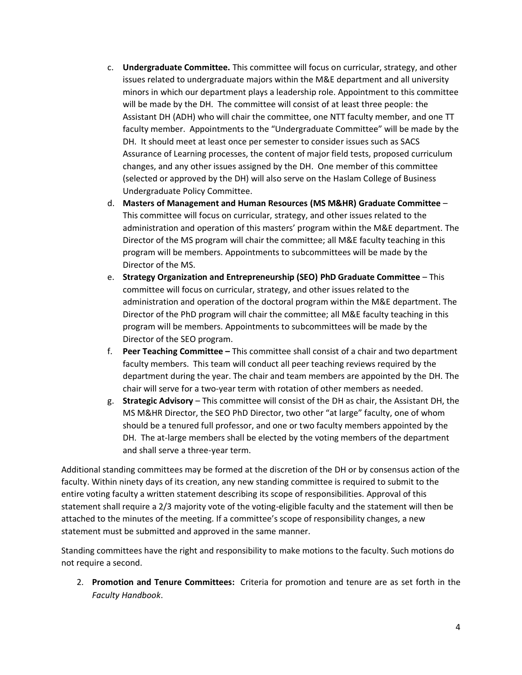- c. **Undergraduate Committee.** This committee will focus on curricular, strategy, and other issues related to undergraduate majors within the M&E department and all university minors in which our department plays a leadership role. Appointment to this committee will be made by the DH. The committee will consist of at least three people: the Assistant DH (ADH) who will chair the committee, one NTT faculty member, and one TT faculty member. Appointments to the "Undergraduate Committee" will be made by the DH. It should meet at least once per semester to consider issues such as SACS Assurance of Learning processes, the content of major field tests, proposed curriculum changes, and any other issues assigned by the DH. One member of this committee (selected or approved by the DH) will also serve on the Haslam College of Business Undergraduate Policy Committee.
- d. **Masters of Management and Human Resources (MS M&HR) Graduate Committee** This committee will focus on curricular, strategy, and other issues related to the administration and operation of this masters' program within the M&E department. The Director of the MS program will chair the committee; all M&E faculty teaching in this program will be members. Appointments to subcommittees will be made by the Director of the MS.
- e. **Strategy Organization and Entrepreneurship (SEO) PhD Graduate Committee** This committee will focus on curricular, strategy, and other issues related to the administration and operation of the doctoral program within the M&E department. The Director of the PhD program will chair the committee; all M&E faculty teaching in this program will be members. Appointments to subcommittees will be made by the Director of the SEO program.
- f. **Peer Teaching Committee –** This committee shall consist of a chair and two department faculty members. This team will conduct all peer teaching reviews required by the department during the year. The chair and team members are appointed by the DH. The chair will serve for a two-year term with rotation of other members as needed.
- g. **Strategic Advisory** This committee will consist of the DH as chair, the Assistant DH, the MS M&HR Director, the SEO PhD Director, two other "at large" faculty, one of whom should be a tenured full professor, and one or two faculty members appointed by the DH. The at-large members shall be elected by the voting members of the department and shall serve a three-year term.

Additional standing committees may be formed at the discretion of the DH or by consensus action of the faculty. Within ninety days of its creation, any new standing committee is required to submit to the entire voting faculty a written statement describing its scope of responsibilities. Approval of this statement shall require a 2/3 majority vote of the voting-eligible faculty and the statement will then be attached to the minutes of the meeting. If a committee's scope of responsibility changes, a new statement must be submitted and approved in the same manner.

Standing committees have the right and responsibility to make motions to the faculty. Such motions do not require a second.

2. **Promotion and Tenure Committees:** Criteria for promotion and tenure are as set forth in the *Faculty Handbook*.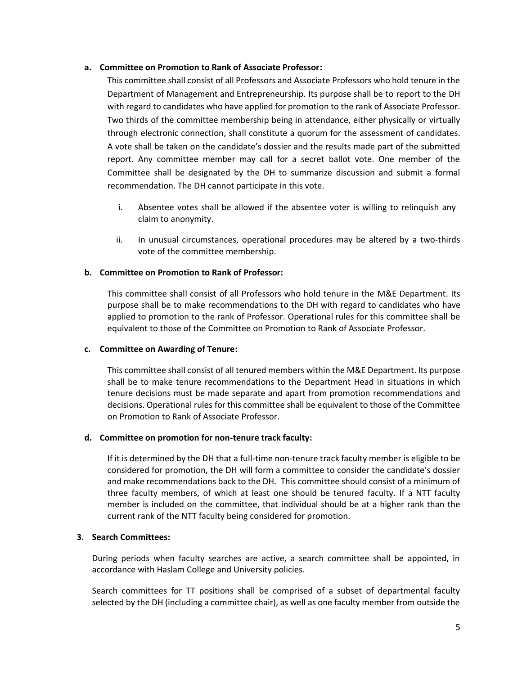### **a. Committee on Promotion to Rank of Associate Professor:**

This committee shall consist of all Professors and Associate Professors who hold tenure in the Department of Management and Entrepreneurship. Its purpose shall be to report to the DH with regard to candidates who have applied for promotion to the rank of Associate Professor. Two thirds of the committee membership being in attendance, either physically or virtually through electronic connection, shall constitute a quorum for the assessment of candidates. A vote shall be taken on the candidate's dossier and the results made part of the submitted report. Any committee member may call for a secret ballot vote. One member of the Committee shall be designated by the DH to summarize discussion and submit a formal recommendation. The DH cannot participate in this vote.

- i. Absentee votes shall be allowed if the absentee voter is willing to relinquish any claim to anonymity.
- ii. In unusual circumstances, operational procedures may be altered by a two-thirds vote of the committee membership.

### **b. Committee on Promotion to Rank of Professor:**

This committee shall consist of all Professors who hold tenure in the M&E Department. Its purpose shall be to make recommendations to the DH with regard to candidates who have applied to promotion to the rank of Professor. Operational rules for this committee shall be equivalent to those of the Committee on Promotion to Rank of Associate Professor.

### **c. Committee on Awarding of Tenure:**

This committee shall consist of all tenured members within the M&E Department. Its purpose shall be to make tenure recommendations to the Department Head in situations in which tenure decisions must be made separate and apart from promotion recommendations and decisions. Operational rules for this committee shall be equivalent to those of the Committee on Promotion to Rank of Associate Professor.

### **d. Committee on promotion for non-tenure track faculty:**

If it is determined by the DH that a full-time non-tenure track faculty member is eligible to be considered for promotion, the DH will form a committee to consider the candidate's dossier and make recommendations back to the DH. This committee should consist of a minimum of three faculty members, of which at least one should be tenured faculty. If a NTT faculty member is included on the committee, that individual should be at a higher rank than the current rank of the NTT faculty being considered for promotion.

### **3. Search Committees:**

During periods when faculty searches are active, a search committee shall be appointed, in accordance with Haslam College and University policies.

Search committees for TT positions shall be comprised of a subset of departmental faculty selected by the DH (including a committee chair), as well as one faculty member from outside the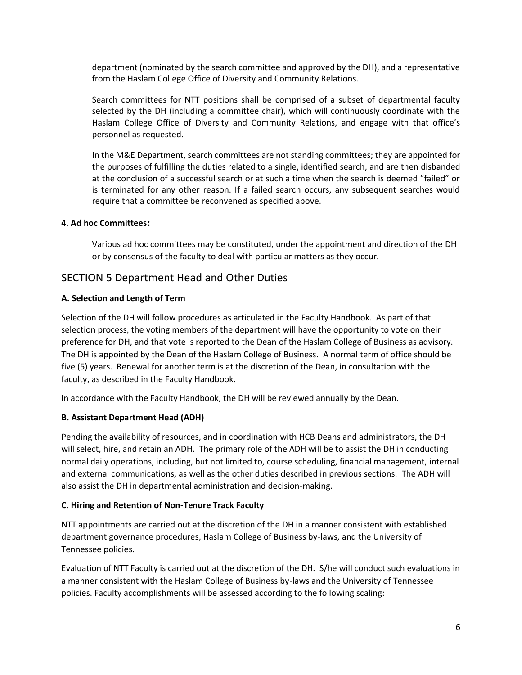department (nominated by the search committee and approved by the DH), and a representative from the Haslam College Office of Diversity and Community Relations.

Search committees for NTT positions shall be comprised of a subset of departmental faculty selected by the DH (including a committee chair), which will continuously coordinate with the Haslam College Office of Diversity and Community Relations, and engage with that office's personnel as requested.

In the M&E Department, search committees are not standing committees; they are appointed for the purposes of fulfilling the duties related to a single, identified search, and are then disbanded at the conclusion of a successful search or at such a time when the search is deemed "failed" or is terminated for any other reason. If a failed search occurs, any subsequent searches would require that a committee be reconvened as specified above.

### **4. Ad hoc Committees:**

Various ad hoc committees may be constituted, under the appointment and direction of the DH or by consensus of the faculty to deal with particular matters as they occur.

## SECTION 5 Department Head and Other Duties

### **A. Selection and Length of Term**

Selection of the DH will follow procedures as articulated in the Faculty Handbook. As part of that selection process, the voting members of the department will have the opportunity to vote on their preference for DH, and that vote is reported to the Dean of the Haslam College of Business as advisory. The DH is appointed by the Dean of the Haslam College of Business. A normal term of office should be five (5) years. Renewal for another term is at the discretion of the Dean, in consultation with the faculty, as described in the Faculty Handbook.

In accordance with the Faculty Handbook, the DH will be reviewed annually by the Dean.

### **B. Assistant Department Head (ADH)**

Pending the availability of resources, and in coordination with HCB Deans and administrators, the DH will select, hire, and retain an ADH. The primary role of the ADH will be to assist the DH in conducting normal daily operations, including, but not limited to, course scheduling, financial management, internal and external communications, as well as the other duties described in previous sections. The ADH will also assist the DH in departmental administration and decision-making.

### **C. Hiring and Retention of Non-Tenure Track Faculty**

NTT appointments are carried out at the discretion of the DH in a manner consistent with established department governance procedures, Haslam College of Business by-laws, and the University of Tennessee policies.

Evaluation of NTT Faculty is carried out at the discretion of the DH. S/he will conduct such evaluations in a manner consistent with the Haslam College of Business by-laws and the University of Tennessee policies. Faculty accomplishments will be assessed according to the following scaling: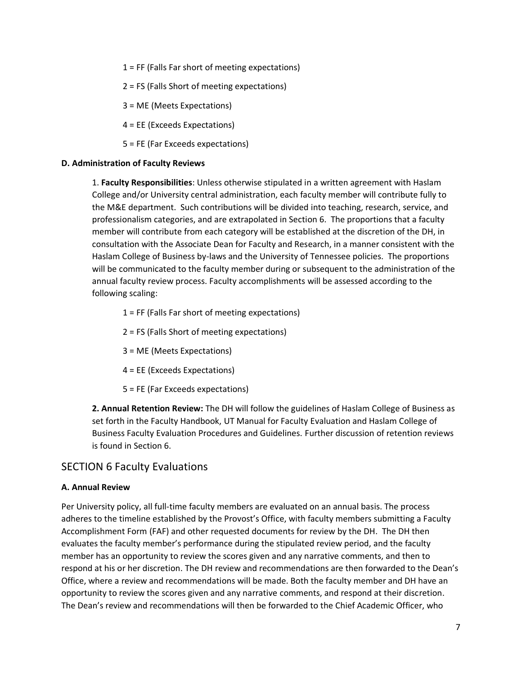- 1 = FF (Falls Far short of meeting expectations)
- 2 = FS (Falls Short of meeting expectations)
- 3 = ME (Meets Expectations)
- 4 = EE (Exceeds Expectations)
- 5 = FE (Far Exceeds expectations)

#### **D. Administration of Faculty Reviews**

1. **Faculty Responsibilities**: Unless otherwise stipulated in a written agreement with Haslam College and/or University central administration, each faculty member will contribute fully to the M&E department. Such contributions will be divided into teaching, research, service, and professionalism categories, and are extrapolated in Section 6. The proportions that a faculty member will contribute from each category will be established at the discretion of the DH, in consultation with the Associate Dean for Faculty and Research, in a manner consistent with the Haslam College of Business by-laws and the University of Tennessee policies. The proportions will be communicated to the faculty member during or subsequent to the administration of the annual faculty review process. Faculty accomplishments will be assessed according to the following scaling:

- 1 = FF (Falls Far short of meeting expectations)
- 2 = FS (Falls Short of meeting expectations)
- 3 = ME (Meets Expectations)
- 4 = EE (Exceeds Expectations)
- 5 = FE (Far Exceeds expectations)

**2. Annual Retention Review:** The DH will follow the guidelines of Haslam College of Business as set forth in the Faculty Handbook, UT Manual for Faculty Evaluation and Haslam College of Business Faculty Evaluation Procedures and Guidelines. Further discussion of retention reviews is found in Section 6.

### SECTION 6 Faculty Evaluations

#### **A. Annual Review**

Per University policy, all full-time faculty members are evaluated on an annual basis. The process adheres to the timeline established by the Provost's Office, with faculty members submitting a Faculty Accomplishment Form (FAF) and other requested documents for review by the DH. The DH then evaluates the faculty member's performance during the stipulated review period, and the faculty member has an opportunity to review the scores given and any narrative comments, and then to respond at his or her discretion. The DH review and recommendations are then forwarded to the Dean's Office, where a review and recommendations will be made. Both the faculty member and DH have an opportunity to review the scores given and any narrative comments, and respond at their discretion. The Dean's review and recommendations will then be forwarded to the Chief Academic Officer, who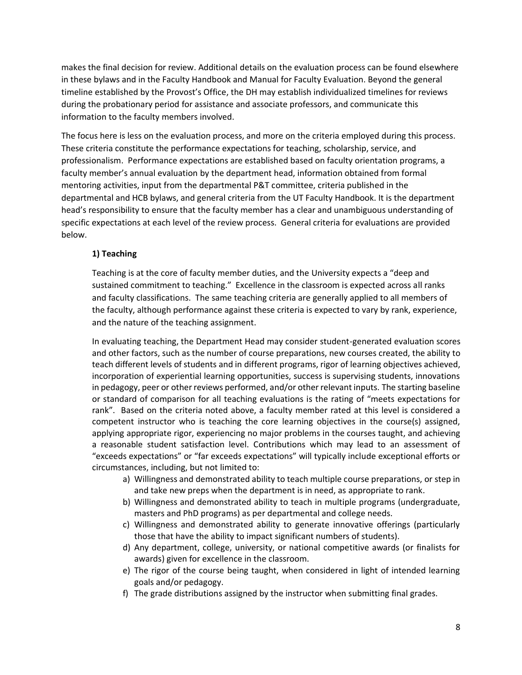makes the final decision for review. Additional details on the evaluation process can be found elsewhere in these bylaws and in the Faculty Handbook and Manual for Faculty Evaluation. Beyond the general timeline established by the Provost's Office, the DH may establish individualized timelines for reviews during the probationary period for assistance and associate professors, and communicate this information to the faculty members involved.

The focus here is less on the evaluation process, and more on the criteria employed during this process. These criteria constitute the performance expectations for teaching, scholarship, service, and professionalism. Performance expectations are established based on faculty orientation programs, a faculty member's annual evaluation by the department head, information obtained from formal mentoring activities, input from the departmental P&T committee, criteria published in the departmental and HCB bylaws, and general criteria from the UT Faculty Handbook. It is the department head's responsibility to ensure that the faculty member has a clear and unambiguous understanding of specific expectations at each level of the review process. General criteria for evaluations are provided below.

### **1) Teaching**

Teaching is at the core of faculty member duties, and the University expects a "deep and sustained commitment to teaching." Excellence in the classroom is expected across all ranks and faculty classifications. The same teaching criteria are generally applied to all members of the faculty, although performance against these criteria is expected to vary by rank, experience, and the nature of the teaching assignment.

In evaluating teaching, the Department Head may consider student-generated evaluation scores and other factors, such as the number of course preparations, new courses created, the ability to teach different levels of students and in different programs, rigor of learning objectives achieved, incorporation of experiential learning opportunities, success is supervising students, innovations in pedagogy, peer or other reviews performed, and/or other relevant inputs. The starting baseline or standard of comparison for all teaching evaluations is the rating of "meets expectations for rank". Based on the criteria noted above, a faculty member rated at this level is considered a competent instructor who is teaching the core learning objectives in the course(s) assigned, applying appropriate rigor, experiencing no major problems in the courses taught, and achieving a reasonable student satisfaction level. Contributions which may lead to an assessment of "exceeds expectations" or "far exceeds expectations" will typically include exceptional efforts or circumstances, including, but not limited to:

- a) Willingness and demonstrated ability to teach multiple course preparations, or step in and take new preps when the department is in need, as appropriate to rank.
- b) Willingness and demonstrated ability to teach in multiple programs (undergraduate, masters and PhD programs) as per departmental and college needs.
- c) Willingness and demonstrated ability to generate innovative offerings (particularly those that have the ability to impact significant numbers of students).
- d) Any department, college, university, or national competitive awards (or finalists for awards) given for excellence in the classroom.
- e) The rigor of the course being taught, when considered in light of intended learning goals and/or pedagogy.
- f) The grade distributions assigned by the instructor when submitting final grades.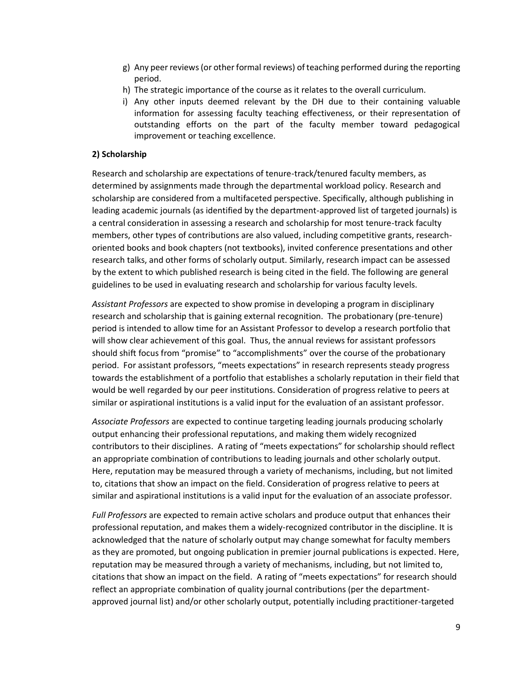- g) Any peer reviews (or other formal reviews) of teaching performed during the reporting period.
- h) The strategic importance of the course as it relates to the overall curriculum.
- i) Any other inputs deemed relevant by the DH due to their containing valuable information for assessing faculty teaching effectiveness, or their representation of outstanding efforts on the part of the faculty member toward pedagogical improvement or teaching excellence.

#### **2) Scholarship**

Research and scholarship are expectations of tenure-track/tenured faculty members, as determined by assignments made through the departmental workload policy. Research and scholarship are considered from a multifaceted perspective. Specifically, although publishing in leading academic journals (as identified by the department-approved list of targeted journals) is a central consideration in assessing a research and scholarship for most tenure-track faculty members, other types of contributions are also valued, including competitive grants, researchoriented books and book chapters (not textbooks), invited conference presentations and other research talks, and other forms of scholarly output. Similarly, research impact can be assessed by the extent to which published research is being cited in the field. The following are general guidelines to be used in evaluating research and scholarship for various faculty levels.

*Assistant Professors* are expected to show promise in developing a program in disciplinary research and scholarship that is gaining external recognition. The probationary (pre-tenure) period is intended to allow time for an Assistant Professor to develop a research portfolio that will show clear achievement of this goal. Thus, the annual reviews for assistant professors should shift focus from "promise" to "accomplishments" over the course of the probationary period. For assistant professors, "meets expectations" in research represents steady progress towards the establishment of a portfolio that establishes a scholarly reputation in their field that would be well regarded by our peer institutions. Consideration of progress relative to peers at similar or aspirational institutions is a valid input for the evaluation of an assistant professor.

*Associate Professors* are expected to continue targeting leading journals producing scholarly output enhancing their professional reputations, and making them widely recognized contributors to their disciplines. A rating of "meets expectations" for scholarship should reflect an appropriate combination of contributions to leading journals and other scholarly output. Here, reputation may be measured through a variety of mechanisms, including, but not limited to, citations that show an impact on the field. Consideration of progress relative to peers at similar and aspirational institutions is a valid input for the evaluation of an associate professor.

*Full Professors* are expected to remain active scholars and produce output that enhances their professional reputation, and makes them a widely-recognized contributor in the discipline. It is acknowledged that the nature of scholarly output may change somewhat for faculty members as they are promoted, but ongoing publication in premier journal publications is expected. Here, reputation may be measured through a variety of mechanisms, including, but not limited to, citations that show an impact on the field. A rating of "meets expectations" for research should reflect an appropriate combination of quality journal contributions (per the departmentapproved journal list) and/or other scholarly output, potentially including practitioner-targeted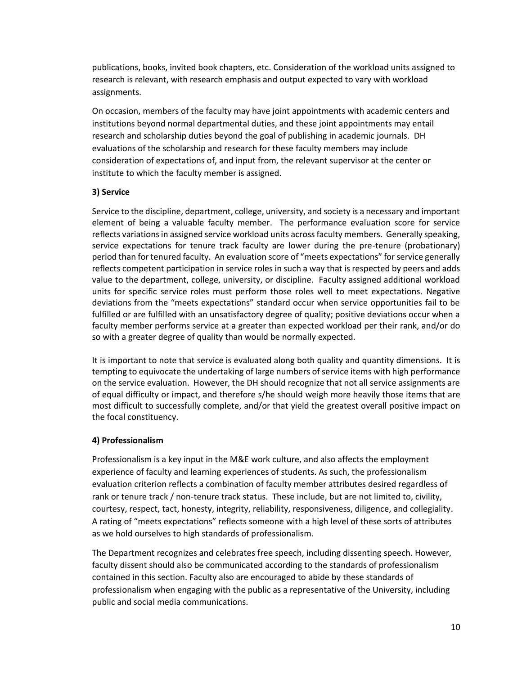publications, books, invited book chapters, etc. Consideration of the workload units assigned to research is relevant, with research emphasis and output expected to vary with workload assignments.

On occasion, members of the faculty may have joint appointments with academic centers and institutions beyond normal departmental duties, and these joint appointments may entail research and scholarship duties beyond the goal of publishing in academic journals. DH evaluations of the scholarship and research for these faculty members may include consideration of expectations of, and input from, the relevant supervisor at the center or institute to which the faculty member is assigned.

### **3) Service**

Service to the discipline, department, college, university, and society is a necessary and important element of being a valuable faculty member. The performance evaluation score for service reflects variations in assigned service workload units across faculty members. Generally speaking, service expectations for tenure track faculty are lower during the pre-tenure (probationary) period than for tenured faculty. An evaluation score of "meets expectations" for service generally reflects competent participation in service roles in such a way that is respected by peers and adds value to the department, college, university, or discipline. Faculty assigned additional workload units for specific service roles must perform those roles well to meet expectations. Negative deviations from the "meets expectations" standard occur when service opportunities fail to be fulfilled or are fulfilled with an unsatisfactory degree of quality; positive deviations occur when a faculty member performs service at a greater than expected workload per their rank, and/or do so with a greater degree of quality than would be normally expected.

It is important to note that service is evaluated along both quality and quantity dimensions. It is tempting to equivocate the undertaking of large numbers of service items with high performance on the service evaluation. However, the DH should recognize that not all service assignments are of equal difficulty or impact, and therefore s/he should weigh more heavily those items that are most difficult to successfully complete, and/or that yield the greatest overall positive impact on the focal constituency.

### **4) Professionalism**

Professionalism is a key input in the M&E work culture, and also affects the employment experience of faculty and learning experiences of students. As such, the professionalism evaluation criterion reflects a combination of faculty member attributes desired regardless of rank or tenure track / non-tenure track status. These include, but are not limited to, civility, courtesy, respect, tact, honesty, integrity, reliability, responsiveness, diligence, and collegiality. A rating of "meets expectations" reflects someone with a high level of these sorts of attributes as we hold ourselves to high standards of professionalism.

The Department recognizes and celebrates free speech, including dissenting speech. However, faculty dissent should also be communicated according to the standards of professionalism contained in this section. Faculty also are encouraged to abide by these standards of professionalism when engaging with the public as a representative of the University, including public and social media communications.